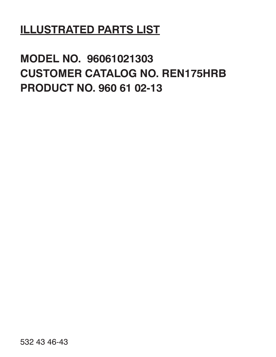# **ILLUSTRATED PARTS LIST**

# **MODEL NO. 96061021303 CUSTOMER CATALOG NO. REN175HRB PRODUCT NO. 960 61 02-13**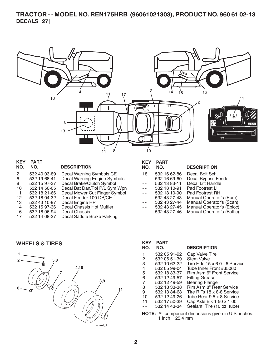## **TRACTOR - - MODEL NO. REN175HRB (96061021303), PRODUCT NO. 960 61 02-13 DECALS 27**



| <b>KEY</b><br>NO. | <b>PART</b><br>NO. | <b>DESCRIPTION</b>            | Kl<br>N <sub>0</sub> |
|-------------------|--------------------|-------------------------------|----------------------|
| 2                 | 532 40 03-89       | Decal Warning Symbols CE      | 1٤                   |
| 6                 | 532 19 68-41       | Decal Warning Engine Symbols  |                      |
| 8                 | 532 15 97-37       | Decal Brake/Clutch Symbol     |                      |
| 10                | 532 14 50-05       | Decal Bat Dan/Poi P/L Sym Wpn |                      |
| 11                | 532 18 21-66       | Decal Mower Cut Finger Symbol |                      |
| 12 <sup>2</sup>   | 532 18 04-32       | Decal Fender 100 DB/CE        |                      |
| 13                | 532 43 10-97       | Decal Engine HP               |                      |
| 14                | 532 15 97-36       | Decal Chassis Hot Muffler     |                      |
| 16                | 532 18 96-94       | Decal Chassis                 |                      |
| 17                | 532 14 08-37       | Decal Saddle Brake Parking    |                      |
|                   |                    |                               |                      |

## **KEY PART**

| NO.                      | NO.          | <b>DESCRIPTION</b>         |
|--------------------------|--------------|----------------------------|
| 18                       | 532 16 62-86 | Decal Bolt Sch.            |
| $\overline{a}$           | 532 16 69-60 | Decal Bypass Fender        |
| $ -$                     | 532 13 83-11 | Decal Lift Handle          |
| $\overline{a}$           | 532 18 10-91 | Pad Footrest LH            |
| $\overline{a}$           | 532 18 10-90 | Pad Footrest RH            |
| $\overline{\phantom{a}}$ | 532 43 27-43 | Manual Operator's (Euro)   |
| $ -$                     | 532 43 27-44 | Manual Operator's (Scan)   |
| $\overline{a}$           | 532 43 27-45 | Manual Operator's (Ebloc)  |
| $ -$                     | 532 43 27-46 | Manual Operator's (Baltic) |

#### **WHEELS & TIRES**



| <b>KEY</b> | <b>PART</b>  |                                      |
|------------|--------------|--------------------------------------|
| NO.        | NO.          | <b>DESCRIPTION</b>                   |
| 1          | 532 05 91-92 | Cap Valve Tire                       |
| 2          | 532 06 51-39 | <b>Stem Valve</b>                    |
| З          | 532 10 62-22 | Tire F Ts $15 \times 60 - 6$ Service |
| 4          | 532 05 99-04 | Tube Inner Front #35060              |
| 5          | 532 18 33-37 | Rim Asm 6" Front Service             |
| 6          | 532 12 49-57 | <b>Fitting Grease</b>                |
| 7          | 532 12 49-59 | <b>Bearing Flange</b>                |
| 8          | 532 18 33-38 | Rim Asm 8" Rear Service              |
| я          | 532 13 84-68 | Tire R Ts 18 x 8-8 Service           |
| 10         | 532 12 49-26 | Tube Rear 9 5 x 8 Service            |
| 11         | 532 17 50-39 | Cap Axle Blk 1 50 x 1 00             |
|            | 532 14 43-34 | Sealant, Tire (10 oz. tube)          |
|            |              |                                      |

**NOTE:** All component dimensions given in U.S. inches. 1 inch =  $25.4 \, \text{mm}$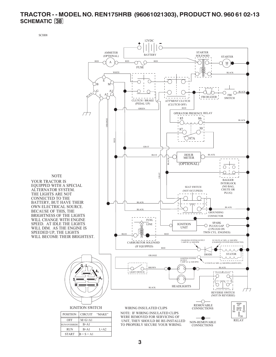## **TRACTOR - - MODEL NO. REN175HRB (96061021303), PRODUCT NO. 960 61 02-13 SCHEMATIC 38**

SCH08

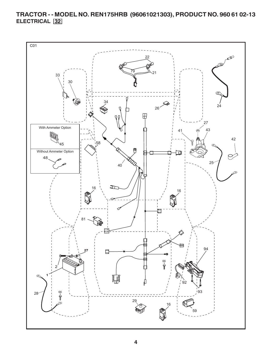**TRACTOR - - MODEL NO. REN175HRB (96061021303), PRODUCT NO. 960 61 02-13 ELECTRICAL 32**

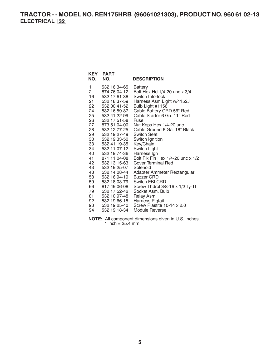## **TRACTOR - - MODEL NO. REN175HRB (96061021303), PRODUCT NO. 960 61 02-13 ELECTRICAL 32**

| <b>KEY</b><br>NO. | <b>PART</b><br>NO.           | <b>DESCRIPTION</b>                            |
|-------------------|------------------------------|-----------------------------------------------|
| 1                 | 532 16 34-65                 | Battery                                       |
| $\overline{2}$    | 874 76 04-12                 | Bolt Hex Hd 1/4-20 unc x 3/4                  |
| 16                | 532 17 61-38                 | Switch Interlock                              |
| 21                | 532 18 37-59                 | Harness Asm Light w/4152J                     |
| 22                | 532 00 41-52                 | Bulb Light #1156                              |
| 24                | 532 16 59-87                 | Cable Battery CRD 56" Red                     |
| 25                | 532 41 22-99                 | Cable Starter 6 Ga. 11" Red                   |
| 26 —              | 532 17 51-58                 | Fuse                                          |
| 27                | 873 51 04-00                 | Nut Keps Hex 1/4-20 unc                       |
| 28                | 532 12 77-25                 | Cable Ground 6 Ga. 18" Black                  |
| 29                | 532 19 27-49                 | <b>Switch Seat</b>                            |
| 30                | 532 19 33-50                 | Switch Ignition                               |
| 33                | 532 41 19-35                 | Key/Chain                                     |
| 34                | 532 11 07-12                 | Switch Light                                  |
| 40                | 532 19 74-36                 | Harness Ign                                   |
| 41                | 871 11 04-08                 | Bolt Flk Fin Hex 1/4-20 unc x 1/2             |
| 42                | 532 13 15-63                 | Cover Terminal Red                            |
| 43                | 532 19 25-07                 | Solenoid                                      |
| 48                | 532 14 08-44                 | Adapter Ammeter Rectangular                   |
| 58                | 532 16 94-19                 | Buzzer CRD                                    |
| 59                | 532 18 03-79                 | Switch FBI CRD                                |
| 66 —              | 817 49 06-08                 | Screw Thdrol 3/8-16 x 1/2 Ty-Tt               |
| 79 —              | 532 17 52-42                 | Socket Asm. Bulb                              |
| 81 -              | 532 10 97-48                 | <b>Relay Asm</b>                              |
| 92<br>93 —        | 532 19 66-15<br>532 19 25-40 | Harness Pigtail<br>Screw Plastite 10-14 x 2.0 |
| 94                |                              |                                               |
|                   | 532 19 18-34                 | Module Reverse                                |

**NOTE:** All component dimensions given in U.S. inches. 1 inch =  $25.4$  mm.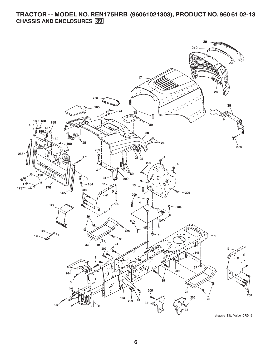## **TRACTOR - - MODEL NO. REN175HRB (96061021303), PRODUCT NO. 960 61 02-13 CHASSIS AND ENCLOSURES 39**

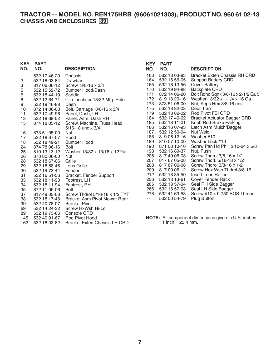## **TRACTOR - - MODEL NO. REN175HRB (96061021303), PRODUCT NO. 960 61 02-13 CHASSIS AND ENCLOSURES 39**

| <b>KEY</b>     | <b>PART</b>  |                                     | <b>KEY</b>    | <b>PART</b>         |                                                      |
|----------------|--------------|-------------------------------------|---------------|---------------------|------------------------------------------------------|
| NO.            | NO.          | <b>DESCRIPTION</b>                  | NO.           | NO.                 | <b>DESCRIPTION</b>                                   |
| 1.             | 532 17 46-20 | Chassis                             | 163           | 532 18 03-83        | <b>Bracket Exten Chassis RH CRD</b>                  |
| $\overline{c}$ | 532 18 03-84 | Drawbar                             | 164           | 532 16 56-05        | <b>Support Battery CRD</b>                           |
| 3              | 817 06 06-12 | Screw 3/8-16 x 3/4                  | 165           | 532 18 13-56        | Cover Battery                                        |
| 5              | 532 15 52-72 | <b>Bumper Hood/Dash</b>             | 170           | 532 19 94-88        | <b>Backplate CRD</b>                                 |
| 6              | 532 18 44-19 | Saddle                              | 171           | 872 14 06-20        | Bolt Rdhd Sqnk 3/8-16 x 2-1/2 Gr. 5                  |
| 8              | 532 12 64-71 | Clip Insulator 13/32 Mtg. Hole      | 172           | 819 13 20-16        | Washer 13/32 x 1-1/4 x 16 Ga.                        |
| 9              | 532 19 46-88 | Dash                                | 173           | 873 51 06-00        | Nut, Keps Hex 3/8-16 unc                             |
| 10             | 872 14 06-08 | Bolt, Carriage 3/8-16 x 3/4         | 175           | 532 18 82-03        | Door Trap                                            |
| 11             | 532 17 49-96 | Panel, Dash, LH                     | 179           | 532 18 82-02        | Rod Pivot FBI CRD                                    |
| 13             | 532 18 69-52 | Panel, Asm. Dash RH                 | 184           | 532 17 46-62        | <b>Bracket Actuator Bagger CRD</b>                   |
| 15             | 874 18 05-12 | Screw, Machine, Truss Head          | 185           | 532 18 11-01        | Knob Rod Brake Parking                               |
|                |              | $5/16 - 18$ unc $\times 3/4$        | 186           | 532 16 07-93        | Latch Asm Mulch/Bagger                               |
| 16             | 873 51 05-00 | Nut                                 | 187           | 532 12 50-04        | Nut Weld                                             |
| 17             | 532 18 67-07 | Hood                                | 188           | 819 06 12-16        | Washer #10                                           |
| 18             | 532 18 49-21 | <b>Bumper Hood</b>                  | 189           | 810 07 10-00        | Washer Lock #10                                      |
| 24             | 874 78 06-16 | <b>Bolt</b>                         | 190           | 871 08 10-10        | Screw Pan Hd Phillip 10-24 x 5/8                     |
| 25             | 819 13 13-12 | Washer 13/32 x 13/16 x 12 Ga.       | 198           | 532 16 89-37        | Nut, Push                                            |
| 26             | 873 80 06-00 | Nut                                 | 205           | 817 49 06-08        | Screw Thdrol $3/8-16 \times 1/2$                     |
| 28             | 532 18 67-06 | Grille                              | 207           | 817 67 05-08        | Screw Thdrl. 5/16-18 x 1/2                           |
| 29             | 532 18 58-46 | Lens Grille                         | 208           | 817 67 06-08        | Screw Thdrol $3/8-16 \times 1/2$                     |
| 30             | 532 19 73-44 | Fender                              | 209           | 817 00 06-12        | Screw Hex Wsh Thdrol 3/8-16                          |
| 31             | 532 16 51-56 | Bracket, Fender Support             | 212           | 532 18 35-50        | Insert Lens Reflect                                  |
| 33             | 532 18 11-93 | Footrest, LH                        | 256           | 532 18 13-61        | Cover Fender Rack                                    |
| 34             | 532 18 11-94 | Footrest, RH                        | 265           | 532 18 57-04        | Seal RH Side Bagger                                  |
| 35             | 872 11 06-06 | <b>Bolt</b>                         | 266           | 532 18 57-03        | Seal LH Side Bagger                                  |
| 37             | 817 49 05-08 | Screw Thdrol 5/16-18 x 1/2 TYT      | 278           | 532 41 63-58        | Screw #10 x 0.750 BOS Thread                         |
| 38             | 532 18 17-48 | Bracket Asm Pivot Mower Rear        | $\sim$ $\sim$ | 532 00 54-79        | <b>Plug Button</b>                                   |
| 39             | 532 40 78-07 | <b>Bracket Pivot</b>                |               |                     |                                                      |
| 69             | 532 14 24-32 | Screw HxWsh Hi-Lo                   |               |                     |                                                      |
| 89             | 532 19 73-66 | Console CRD                         |               |                     |                                                      |
| 145            | 532 40 91-67 | Rod Pivot Hood                      |               |                     | NOTE: All component dimensions given in U.S. inches. |
| 162            | 532 18 03-82 | <b>Bracket Exten Chassis LH CRD</b> |               | 1 inch = $25.4$ mm. |                                                      |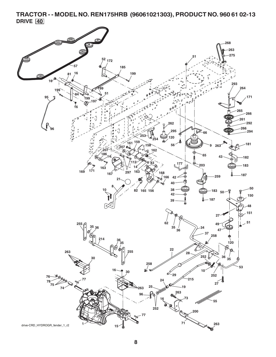**TRACTOR - - MODEL NO. REN175HRB (96061021303), PRODUCT NO. 960 61 02-13 DRIVE 40**

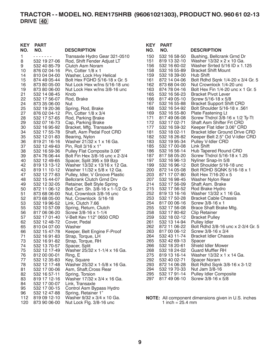## **TRACTOR - - MODEL NO. REN175HRB (96061021303), PRODUCT NO. 960 61 02-13 DRIVE 40**

| <b>KEY</b> | <b>PART</b>    |                                     | <b>KEY</b> | <b>PART</b>        |                                                            |
|------------|----------------|-------------------------------------|------------|--------------------|------------------------------------------------------------|
| NO.        | NO.            | <b>DESCRIPTION</b>                  | NO.        | NO.                | <b>DESCRIPTION</b>                                         |
| 1          | -------        | Transaxle Hydro Gear 321-0510       | 150        | 532 16 58-50       | Bushing, Bellcrank Grnd Dr                                 |
| 8          | 532 19 27-06   | Rod, Shift Fender Adjust LT         | 151        | 819 13 32-10       | Washer 13/32 x 2 x 10 Ga.                                  |
| 9          | 532 40 85-79   | Clutch Asm Noram                    | 156        | 532 16 60-02       | Washer Srrted 5/16 ID x 1.125                              |
| 10         | 876 02 04-16   | Pin, Cotter $1/8 \times 1$          | 158        | 532 16 55-89       | <b>Bracket Shift Mount</b>                                 |
| 14         | 810 04 04-00   | Washer, Lock Hvy Helical            | 159        | 532 18 39-00       | Hub Shift                                                  |
| 15         | 874 49 05-44   | Bolt Hex FGHD 5/16-18 x Gr. 5       | 161        | 872 14 04-06       | Bolt Rdhd Sqnk 1/4-20 x 3/4 Gr. 5                          |
| 16         | 873 80 05-00   | Nut Lock Hex w/Ins 5/16-18 unc      | 162        | 873 68 04-00       | Nut Crownlock 1/4-20 unc                                   |
| 19         | 873 80 06-00   | Nut Lock Hex w/Ins 3/8-16 unc       | 163        | 874 78 04-16       | Bolt Hex Fin 1/4-20 unc x 1 Gr. 5                          |
| 21         | 532 14 08-45   | Knob                                | 165        | 532 16 56-23       | <b>Bracket Pivot Lever</b>                                 |
| 22         | 532 17 56-07   | Rod, Brake                          | 166        | 817 49 05-10       | Screw 5/16-18 x 5/8                                        |
| 24         | 873 35 06-00   | Nut                                 | 167        | 532 16 55-88       | <b>Bracket Support Shift CRD</b>                           |
| 25         | 532 19 20-36   | Spring, Rod, Brake                  | 168        | 532 16 54-92       | Bolt Shoulder 5/16-18 x .561                               |
| 27         | 876 02 04-12   | Pin, Cotter $1/8 \times 3/4$        | 169        | 532 16 55-80       | Plate Fastening Lt                                         |
| 28         | 532 17 57-65   | Rod, Parking Brake                  | 171        | 817 49 06-08       | Screw Thdrol 3/8-16 x 1/2 Ty-Tt                            |
| 29         | 532 07 16-73   | Cap, Parking Brake                  | 172        | 532 17 02-71       | Shaft Asm Shifter Frt CRD                                  |
| 30         | 532 16 95-92   | Bracket, Mfg. Transaxle             | 177        | 532 16 59-32       | Keeper Flat Idler 3.06" CRD                                |
| 34         | 532 17 55-78   | Shaft, Asm Pedal Foot CRD           | 181        | 532 18 02-11       | <b>Bracket Idler Ground Drive CRD</b>                      |
| 35         | 532 12 01-83   | Bearing, Nylon                      | 182        | 532 18 26-82       | Keeper Belt 2.5" Od V-Idler CRD                            |
| 36         | 819 21 16-16   | Washer 21/32 x 1 x 16 Ga.           | 183        | 532 19 95-34       | Pulley V-Idler CRD                                         |
| 37         | 532 12 49-63   | Pin, Roll 3/16 x 1"                 | 185        | 532 17 00-08       | Link Shift                                                 |
| 38         | 532 16 59-36   | Pulley Flat Composite 3.06"         | 186        | 532 16 56-14       | Hub Tapered Round CRD                                      |
| 39         | 874 76 06-44   | Bolt Fin Hex 3/8-16 unc x 2-3/4     | 187        | 817 58 05-20       | Screw Thdrol 5/16-18 x 1.25                                |
| 40         | 532 12 49-65   | Spacer, Split 395 x 59 Bzp          | 197        | 532 16 96-13       | Nyliner Snap-In 5/8                                        |
| 42         | 819 13 13 - 12 | Washer 13/32 x 13/16 x 12 Ga.       | 199        | 532 16 96-12       | Bolt Shoulder 5/16-18 unc                                  |
| 43         | 819 11 10-12   | Washer 11/32 x 5/8 x 12 Ga.         | 200        | 872 14 05-08       | Bolt RDHD SQNK 5/16-18 x 1                                 |
| 47         | 532 12 77-83   | Pulley, Idler, V Groove Plastic     | 203        | 871 17 07-80       | Bolt Hex 7/16-20 x 5                                       |
| 48         | 532 15 44-07   | Bellcrank Clutch Grnd Drv           | 207        | 532 16 98-45       | Washer Nylon Rear                                          |
| 49         | 532 12 32-05   | Retainer, Belt Style Spring         | 214        | 532 17 56-09       | Shaft Asm. Brake                                           |
| 50         | 872 11 06-12   | Bolt Carr. Sh. 3/8-16 x 1-1/2 Gr. 5 | 215        | 532 17 56-52       | Rod Brake Hydro                                            |
| 51         | 873 68 06-00   | Nut, Crownlock 3/8-16 unc           | 252        | 819 13 16-16       | Washer 13/32 x 1 16 Ga.                                    |
| 52         | 873 68 05-00   | Nut, Crownlock 5/16-18              | 253        | 532 17 50-28       | <b>Bracket Cable Chassis</b>                               |
| 53         | 532 19 96-52   | Link, Clutch 7.66                   | 254        | 817 00 06-16       | Screw 3/8-16 x 1                                           |
| 55         | 532 10 57-09   | Spring, Return, Clutch              | 255        | 532 17 56-08       | Brace Shaft Brake Mtg.                                     |
| 56         | 817 06 06-20   | Screw 3/8-16 x 1-1/4                | 258        | 532 17 80-62       | <b>Clip Retainer</b>                                       |
| 57         | 532 17 01-40   | V-Belt Kev 112" 0650 CRD            | 259        | 532 18 02-12       | <b>Bracket Pulley</b>                                      |
| 62         | 532 12 48-72   | Cover, Pedal                        | 261        | 532 13 14-94       | <b>Pulley Idler</b>                                        |
| 65         | 810 04 07-00   | Washer                              | 262        | 872 11 06-22       | Bolt Rdhd 3/8-16 unc x 2-3/4 Gr. 5                         |
| 66         | 532 15 47-78   | Keeper, Belt Engine F-Proof         | 263        | 817 00 06-12       | Screw 3/8-16 x 3/4                                         |
| 71         | 532 16 91-83   | Strap, Torque, LH                   | 264        | 532 43 11-74       | <b>Bracket Idler Chassis</b>                               |
| 73         | 532 16 91-82   | Strap, Torque, RH                   | 265        | 532 42 69-13       | Spacer                                                     |
| 74         | 532 13 70-57   | Spacer, Split                       | 266        | 532 18 20-61       | Shield Idler Mower                                         |
| 75         | 532 12 17-49   | Washer 25/32 x 1-1/4 x 16 Ga.       | 268        | 532 18 24-02       | <b>Guard Muffler RH</b>                                    |
| 76         | 812 00 00-01   | Ring, E                             | 275        | 819 13 16-14       | Washer 13/32 x 1 x 14 Ga.                                  |
| 77         | 532 12 35-83   | Key, Square                         | 292        | 532 40 02-71       | Spacer Noram                                               |
| 78         | 532 12 17-48   | Washer 25/32 x 1-5/8 x 16 Ga.       | 293        | 872 14 06-28       | Bolt Rdhd Sqnk 3/8-16 x 3-1/2                              |
| 81         | 532 17 00-06   | Asm, Shaft, Cross Rear              | 294        | 532 19 70-33       | Nut Jam 3/8-16                                             |
| 82         | 532 16 57-11   | Spring, Torsion                     | 295        | 532 17 91-14       | Pulley Idler Composite                                     |
| 83         | 819 17 12-16   | Washer 17/32 x 3/4 x 16 Ga.         | 297        | 817 49 06-10       | Screw 3/8-16 x 5/8                                         |
| 84         | 532 17 00-07   | Link, Transaxle                     |            |                    |                                                            |
| 95         | 532 17 00-15   | Control Asm Bypass Hydro            |            |                    |                                                            |
| 96         | 532 12 47-88   | Spring, Retainer 1"                 |            |                    |                                                            |
| 112        | 819 09 12-10   | Washer 9/32 x 3/4 x 10 Ga.          |            |                    | <b>NOTE:</b> All component dimensions given in U.S. inches |
| 120        | 873 90 06-00   | Nut Lock Flg. 3/8-16 unc            |            | 1 inch = $25.4$ mm |                                                            |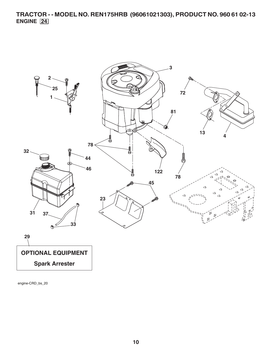**TRACTOR - - MODEL NO. REN175HRB (96061021303), PRODUCT NO. 960 61 02-13 ENGINE 24**



engine-CRD\_bs\_20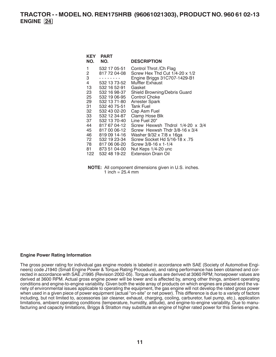**TRACTOR - - MODEL NO. REN175HRB (96061021303), PRODUCT NO. 960 61 02-13 ENGINE 24**

| KEY<br>NO.                                                                                                | <b>PART</b><br>NO.                                                                                                                                                                                                                                                           | <b>DESCRIPTION</b>                                                                                                                                                                                                                                                                                                                                                                                                                                                    |
|-----------------------------------------------------------------------------------------------------------|------------------------------------------------------------------------------------------------------------------------------------------------------------------------------------------------------------------------------------------------------------------------------|-----------------------------------------------------------------------------------------------------------------------------------------------------------------------------------------------------------------------------------------------------------------------------------------------------------------------------------------------------------------------------------------------------------------------------------------------------------------------|
| 1<br>2<br>3<br>4<br>13<br>23<br>25<br>29<br>31.<br>32<br>33<br>37<br>44<br>45<br>46<br>72<br>78 —<br>81 - | 532 17 05-51<br>817 72 04-08<br>532 13 73-52<br>532 16 52-91<br>532 16 98-37<br>532 19 06-95<br>532 13 71-80<br>532 40 75-51<br>532 43 02-20<br>532 12 34-87<br>532 13 70-40<br>817 67 04-12<br>817 00 06-12<br>819 09 14-16<br>532 19 23-34<br>817 06 06-20<br>873 51 04-00 | Control Throt / Ch Flag<br>Screw Hex Thd Cut $1/4$ -20 x $1/2$<br>Engine Briggs 31C707-1429-B1<br>Muffler Exhaust<br>Gasket<br>Shield Browning/Debris Guard<br><b>Control Choke</b><br><b>Arrester Spark</b><br><b>Tank Fuel</b><br>Cap Asm Fuel<br>Clamp Hose Blk<br>Line Fuel 20"<br>Screw Hexwsh Thdrol 1/4-20 x 3/4<br>Screw Hexwsh Thdr 3/8-16 x 3/4<br>Washer 9/32 x 7/8 x 16ga<br>57. Screw Socket Hd 5/16-18 x<br>Screw 3/8-16 x 1-1/4<br>Nut Keps 1/4-20 unc |
| 122                                                                                                       | 532 48 19-22                                                                                                                                                                                                                                                                 | <b>Extension Drain Oil</b>                                                                                                                                                                                                                                                                                                                                                                                                                                            |

**NOTE:** All component dimensions given in U.S. inches. 1 inch =  $25.4 \, \text{mm}$ 

#### **Engine Power Rating Information**

The gross power rating for individual gas engine models is labeled in accordance with SAE (Society of Automotive Engineers) code J1940 (Small Engine Power & Torque Rating Procedure), and rating performance has been obtained and corrected in accordance with SAE J1995 (Revision 2002-05). Torque values are derived at 3060 RPM; horsepower values are derived at 3600 RPM. Actual gross engine power will be lower and is affected by, among other things, ambient operating conditions and engine-to-engine variability. Given both the wide array of products on which engines are placed and the variety of environmental issues applicable to operating the equipment, the gas engine will not develop the rated gross power when used in a given piece of power equipment (actual "on-site" or net power). This difference is due to a variety of factors including, but not limited to, accessories (air cleaner, exhaust, charging, cooling, carburetor, fuel pump, etc.), application limitations, ambient operating conditions (temperature, humidity, altitude), and engine-to-engine variability. Due to manufacturing and capacity limitations, Briggs & Stratton may substitute an engine of higher rated power for this Series engine.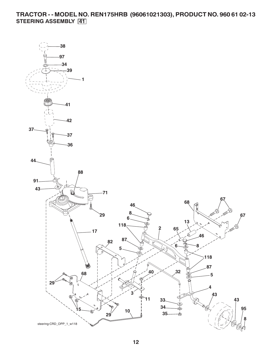**TRACTOR - - MODEL NO. REN175HRB (96061021303), PRODUCT NO. 960 61 02-13 STEERING ASSEMBLY 41**

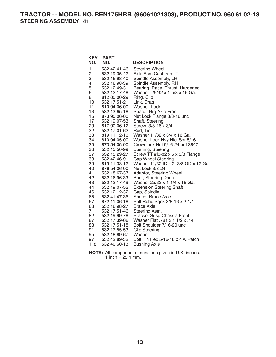**TRACTOR - - MODEL NO. REN175HRB (96061021303), PRODUCT NO. 960 61 02-13 STEERING ASSEMBLY 41**

| <b>KEY</b> | <b>PART</b>                  |                                                      |
|------------|------------------------------|------------------------------------------------------|
| NO.        | NO.                          | <b>DESCRIPTION</b>                                   |
| 1          | 532 42 41-46                 | <b>Steering Wheel</b>                                |
| 2          | 532 19 35-42                 | Axle Asm Cast Iron LT                                |
| 3          | 532 16 98-40                 | Spindle Assembly, LH                                 |
| 4          | 532 16 98-39                 | Spindle Assembly, RH                                 |
| 5          | 532 12 49-31                 | Bearing, Race, Thrust, Hardened                      |
| 6          | 532 12 17-48                 | Washer 25/32 x 1-5/8 x 16 Ga.                        |
| 8          | 812 00 00-29                 | Ring, Clip                                           |
| 10         | 532 17 51-21                 | Link, Drag                                           |
| 11         | 810 04 06-00                 | Washer, Lock                                         |
| 13         | 532 13 65-18                 | Spacer Brg Axle Front                                |
| 15         | 873 90 06-00                 | Nut Lock Flange 3/8-16 unc                           |
| 17         | 532 19 07-53                 | Shaft, Steering                                      |
| 29         | 817 00 06-12                 | Screw 3/8-16 x 3/4                                   |
| 32         | 532 17 01-62                 | Rod, Tie                                             |
| 33         | 819 11 12-16                 | Washer 11/32 x 3/4 x 16 Ga.                          |
| 34         | 810 04 05-00                 | Washer Lock Hvy Hicl Spr 5/16                        |
| 35         | 873 54 05-00                 | Crownlock Nut 5/16-24 unf 3847                       |
| 36         | 532 15 50-99                 | Bushing, Steering                                    |
| 37         | 532 15 29-27                 | Screw TT #10-32 x 5 x 3/8 Flange                     |
| 38         | 532 42 46-91                 | <b>Cap Wheel Steering</b>                            |
| 39         | 819 11 38-12                 | Washer 11/32 ID x 2- 3/8 OD x 12 Ga.                 |
| 40         | 876 54 06-00                 | Nut Lock 3/8-24                                      |
| 41<br>42   | 532 18 67-37                 | Adaptor, Steering Wheel                              |
| 43         | 532 16 96-33<br>532 12 17-49 | Boot, Steering Dash<br>Washer 25/32 x 1-1/4 x 16 Ga. |
| 44         | 532 19 07-52                 | <b>Extension Steering Shaft</b>                      |
| 46         | 532 12 12-32                 | Cap, Spindle                                         |
| 65         | 532 41 47-36                 | <b>Spacer Brace Axle</b>                             |
| 67         | 872 11 06-18                 | Bolt Rdhd Sqnk 3/8-16 x 2-1/4                        |
| 68         | 532 16 98-27                 | <b>Brace Axle</b>                                    |
| 71         | 532 17 51-46                 | Steering Asm.                                        |
| 82         | 532 19 99-78                 | <b>Bracket Susp Chassis Front</b>                    |
| 87         | 532 17 39-66                 | 14. Washer Flat .781 x 1 1/2 x .14                   |
| 88         | 532 17 51-18                 | Bolt Shoulder 7/16-20 unc                            |
| 91         | 532 17 55-53                 | <b>Clip Steering</b>                                 |
| 95         | 532 18 89-67                 | Washer                                               |
| 97         | 532 42 89-32                 | Bolt Fin Hex 5/16-18 x 4 w/Patch                     |
| 118        | 532 40 60-13                 | <b>Bushing Axle</b>                                  |
|            |                              |                                                      |

**NOTE:** All component dimensions given in U.S. inches. 1 inch =  $25.4$  mm.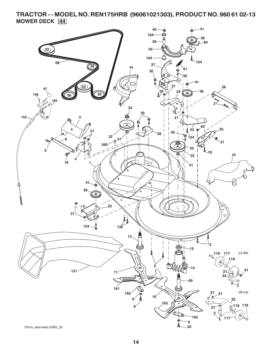## **TRACTOR - - MODEL NO. REN175HRB (96061021303), PRODUCT NO. 960 61 02-13 MOWER DECK 44**

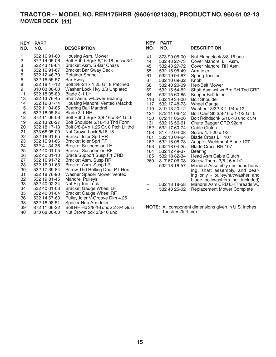## **TRACTOR - - MODEL NO. REN175HRB (96061021303), PRODUCT NO. 960 61 02-13 MOWER DECK 44**

| <b>KEY</b><br>NO.                                                                                                                                                  | <b>PART</b><br>NO.                                                                                                                                                                                                                                                                                                                                                                                                                                                           | <b>DESCRIPTION</b>                                                                                                                                                                                                                                                                                                                                                                                                                                                                                                                                                                                                                                                                                                                                                                                                                                                            | <b>KEY</b><br>NO.                                                                                                                                                                             | <b>PART</b><br>NO.                                                                                                                                                                                                                                                                                                                                                                                                           | <b>DESCRIPTION</b>                                                                                                                                                                                                                                                                                                                                                                                                                                                                                                                                                                                                                                                                                                                                                               |
|--------------------------------------------------------------------------------------------------------------------------------------------------------------------|------------------------------------------------------------------------------------------------------------------------------------------------------------------------------------------------------------------------------------------------------------------------------------------------------------------------------------------------------------------------------------------------------------------------------------------------------------------------------|-------------------------------------------------------------------------------------------------------------------------------------------------------------------------------------------------------------------------------------------------------------------------------------------------------------------------------------------------------------------------------------------------------------------------------------------------------------------------------------------------------------------------------------------------------------------------------------------------------------------------------------------------------------------------------------------------------------------------------------------------------------------------------------------------------------------------------------------------------------------------------|-----------------------------------------------------------------------------------------------------------------------------------------------------------------------------------------------|------------------------------------------------------------------------------------------------------------------------------------------------------------------------------------------------------------------------------------------------------------------------------------------------------------------------------------------------------------------------------------------------------------------------------|----------------------------------------------------------------------------------------------------------------------------------------------------------------------------------------------------------------------------------------------------------------------------------------------------------------------------------------------------------------------------------------------------------------------------------------------------------------------------------------------------------------------------------------------------------------------------------------------------------------------------------------------------------------------------------------------------------------------------------------------------------------------------------|
| 1<br>2<br>3<br>4<br>5<br>6<br>8<br>9<br>11<br>13<br>14<br>15<br>16<br>18<br>19<br>20<br>21<br>22<br>23<br>24<br>25<br>26<br>27<br>28<br>30<br>31<br>32<br>33<br>34 | 532 16 91-60<br>872 14 05-06<br>532 43 18-64<br>532 16 91-67<br>532 12 46-70<br>532 16 55-57<br>532 18 17-12<br>810 03 06-00<br>532 18 05-83<br>532 13 76-45<br>532 12 87-74<br>532 11 04-85<br>532 18 05-84<br>872 11 06-06<br>532 13 28-27<br>532 18 17-13<br>873 68 05-00<br>532 16 91-65<br>532 16 91-66<br>532 41 34-36<br>532 40 01-05<br>532 40 01-10<br>532 16 91-72<br>532 16 91-68<br>532 17 39-84<br>532 18 76-90<br>532 19 81-45<br>532 40 02-34<br>532 40 01-03 | Housing Asm. Mower<br>Bolt Rdhd Sqnk 5/16-18 unc x 3/4<br>Bracket Asm. S-Bar Chass<br><b>Bracket Bar Sway Deck</b><br><b>Retainer Spring</b><br><b>Bar Sway</b><br>Bolt 3/8-24 x 1.25 Gr. 8 Patched<br>Washer Lock Hvy 3/8 Unplated<br>Blade 3-1 LH<br>Shaft Asm. w/Lower Bearing<br>Housing Mandrel Vented (Machd)<br><b>Bearing Ball Mandrel</b><br>Blade 3-1 RH<br>Bolt Rdhd Sqnk 3/8-16 x 3/4 Gr. 5<br>Bolt Shoulder 5/16-18 Thd Form<br>Bolt 3/8-24 x 1.25 Gr. 8 Ptch LHthd<br>Nut Crown Lock 5/16-18<br><b>Bracket Idler Sprt RR</b><br><b>Bracket Idler Sprt RF</b><br><b>Bracket Suspension LH</b><br><b>Bracket Suspension RF</b><br><b>Brace Support Susp Frt CRD</b><br>Bracket Asm. Susp RR<br>Bracket Asm. Susp LR<br>Screw Thd Rolling Dod. PT Hex<br>Washer Spacer Mower Vented<br><b>Mandrel Pulleys</b><br>Nut Flg Top Lock<br><b>Bracket Gauge Wheel LF</b> | 41<br>44<br>45<br>55<br>61<br>67<br>68<br>69<br>84<br>116<br>117<br>119<br>124<br>130<br>131<br>152<br>158<br>161<br>162<br>163<br>164<br>185<br>260<br>$-$<br>$\overline{\phantom{a}}$<br>-- | 873 90 06-00<br>532 43 27-73<br>532 43 27-72<br>532 16 98-49<br>532 19 94-87<br>532 10 69-32<br>532 40 20-09<br>532 16 54-82<br>532 15 60-85<br>532 19 34-06<br>532 17 48-73<br>819 13 20-12<br>872 11 06-12<br>872 11 05-06<br>532 16 56-61<br>532 17 60-74<br>817 72 04-08<br>532 18 04-24<br>532 18 08-78<br>532 18 04-25<br>532 12 49-37<br>532 18 82-34<br>817 67 06-08<br>532 18 18-57<br>532 18 18-58<br>532 43 25-02 | Nut Flangelock 3/8-16 unc<br>Cover Mandrel LH Asm.<br>Cover Mandrel RH Asm.<br>Arm Idler<br>Spring Tension<br>Knob<br>Hex-Belt Mower<br>Shaft Asm w/Lwr Brg RH Thd CRD<br>Keeper Belt Idler<br><b>Bolt Shoulder</b><br><b>Wheel Gauge</b><br>Washer 13/32 X 1 1/4 x 12<br>Bolt Carr Sh 3/8-16 x 1-1/2 Gr. 5<br>Bolt Rdhdsqnk $5/16-18$ unc x $3/4$<br>Chute Bagger CRD 92cm<br>Cable Clutch<br>Screw 1/4-20 x 1/2<br>Blade Cross LH 107<br>Adapter Weldment Blade 107<br>Blade Cross RH 107<br>Bearing<br>Head Asm Cable Clutch<br>Screw Thdrol 3/8-16 x 1/2<br>Mandrel Assembly (Includes hous-<br>ing, shaft assembly, and bear-<br>ing only - pulley/nut/washer and<br>blade bolt/washers not included)<br>Mandrel Asm CRD LH Threads VC<br><b>Replacement Mower Complete</b> |
| 35<br>36                                                                                                                                                           | 532 40 01-04<br>532 14 67-63                                                                                                                                                                                                                                                                                                                                                                                                                                                 | <b>Bracket Gauge Wheel RF</b><br>Pulley Idler V-Groove Dim 4.25                                                                                                                                                                                                                                                                                                                                                                                                                                                                                                                                                                                                                                                                                                                                                                                                               |                                                                                                                                                                                               |                                                                                                                                                                                                                                                                                                                                                                                                                              |                                                                                                                                                                                                                                                                                                                                                                                                                                                                                                                                                                                                                                                                                                                                                                                  |
|                                                                                                                                                                    |                                                                                                                                                                                                                                                                                                                                                                                                                                                                              |                                                                                                                                                                                                                                                                                                                                                                                                                                                                                                                                                                                                                                                                                                                                                                                                                                                                               |                                                                                                                                                                                               |                                                                                                                                                                                                                                                                                                                                                                                                                              |                                                                                                                                                                                                                                                                                                                                                                                                                                                                                                                                                                                                                                                                                                                                                                                  |
| 38                                                                                                                                                                 | 532 16 98-51                                                                                                                                                                                                                                                                                                                                                                                                                                                                 | Spacer Hub Arm Idler                                                                                                                                                                                                                                                                                                                                                                                                                                                                                                                                                                                                                                                                                                                                                                                                                                                          |                                                                                                                                                                                               |                                                                                                                                                                                                                                                                                                                                                                                                                              | <b>NOTE:</b> All component dimensions given in U.S. inches                                                                                                                                                                                                                                                                                                                                                                                                                                                                                                                                                                                                                                                                                                                       |
| 39                                                                                                                                                                 | 872 11 06-22                                                                                                                                                                                                                                                                                                                                                                                                                                                                 | Bolt RH Hd 3/8-16 unc x 2-3/4 Gr. 5                                                                                                                                                                                                                                                                                                                                                                                                                                                                                                                                                                                                                                                                                                                                                                                                                                           |                                                                                                                                                                                               | 1 inch = $25.4 \text{ mm}$                                                                                                                                                                                                                                                                                                                                                                                                   |                                                                                                                                                                                                                                                                                                                                                                                                                                                                                                                                                                                                                                                                                                                                                                                  |
| 40                                                                                                                                                                 | 873 68 06-00                                                                                                                                                                                                                                                                                                                                                                                                                                                                 | Nut Crownlock 3/8-16 unc                                                                                                                                                                                                                                                                                                                                                                                                                                                                                                                                                                                                                                                                                                                                                                                                                                                      |                                                                                                                                                                                               |                                                                                                                                                                                                                                                                                                                                                                                                                              |                                                                                                                                                                                                                                                                                                                                                                                                                                                                                                                                                                                                                                                                                                                                                                                  |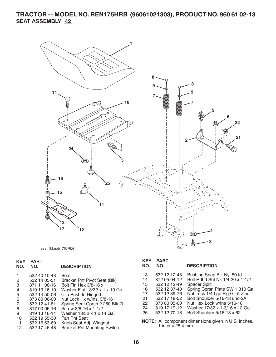## **TRACTOR - - MODEL NO. REN175HRB (96061021303), PRODUCT NO. 960 61 02-13 SEAT ASSEMBLY 42**



seat\_lt.knob\_7(CRD)

## **KEY PART**

| NO. | NO. | <b>DESCRIPTION</b> |
|-----|-----|--------------------|
|     |     |                    |

|    | 532 40 10-43 | Seat                                |
|----|--------------|-------------------------------------|
| 2  | 532 14 05-51 | <b>Bracket Pnt Pivot Seat (Blk)</b> |
| З  | 871 11 06-16 | Bolt Fin Hex 3/8-16 x 1             |
| 4  | 819 13 16-10 | Washer Flat 13/32 x 1 x 10 Ga.      |
| 5  | 532 14 50-06 | Clip Push In Hinged                 |
| 6  | 873 80 06-00 | Nut Lock Hx w/Ins. 3/8-16           |
| 7  | 532 12 41-81 | Spring Seat Cprsn 2 250 Blk Zi      |
| 8  | 817 00 06-16 | Screw 3/8-16 x 1-1/2                |
| 9  | 819 13 16-14 | Washer 13/32 x 1 x 14 Ga.           |
| 10 | 532 19 55-30 | Pan Pnt Seat                        |
| 11 | 532 16 63-69 | Knob Seat Adj. Wingnut              |
| 12 | 532 17 46-48 | <b>Bracket Pnt Mounting Switch</b>  |

## **KEY PART**

#### **NO. NO. DESCRIPTION**

- 13 532 12 12-48 Bushing Snap Blk Nyl 50 Id Bolt Rdhd Sht Nk  $1/4 - 20 \times 1 - 1/2$ 15 532 12 12-49 Spacer Split 16 532 12 37-40 Spring Cprsn Plate SW 1.310 Ga. 17 532 12 39-76 Nut Lock 1/4 Lge Flg Gr. 5 Zinc 21 532 17 18-52 Bolt Shoulder 5/16-18 unc-2A 22 873 80 05-00 Nut Hex Lock w/Ins 5/16-18
- 24 819 17 19-12 Washer 17/32 x 1-3/16 x 12 Ga.
- 25 532 12 70-18 Bolt Shoulder 5/16-18 x 62
- **NOTE:** All component dimensions given in U.S. inches. 1 inch  $= 25.4$  mm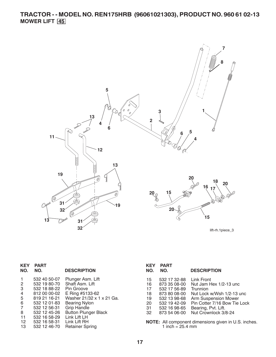## **TRACTOR - - MODEL NO. REN175HRB (96061021303), PRODUCT NO. 960 61 02-13 MOWER LIFT 45**



lift-rh.1piece\_3

| <b>KEY</b>      | <b>PART</b>  |                             | <b>KEY</b> | <b>PART</b>        |                                                      |
|-----------------|--------------|-----------------------------|------------|--------------------|------------------------------------------------------|
| NO.             | NO.          | <b>DESCRIPTION</b>          | NO.        | NO.                | <b>DESCRIPTION</b>                                   |
| $\mathbf{1}$    | 532 40 50-07 | Plunger Asm. Lift           | 15         | 532 17 32-88       | Link Front                                           |
| $\overline{2}$  | 532 19 80-70 | Shaft Asm. Lift             | 16         | 873 35 08-00       | Nut Jam Hex 1/2-13 unc                               |
| 3               | 532 18 88-22 | Pin Groove                  | 17         | 532 17 56-89       | <b>Trunnion</b>                                      |
| 4               | 812 00 00-02 | E Ring #5133-62             | 18         | 873 80 08-00       | Nut Lock w/Wsh 1/2-13 unc                            |
| 5               | 819 21 16-21 | Washer 21/32 x 1 x 21 Ga.   | 19         | 532 13 98-68       | Arm Suspension Mower                                 |
| 6               | 532 12 01-83 | <b>Bearing Nylon</b>        | 20         | 532 19 42-09       | Pin Cotter 7/16 Bow Tie Lock                         |
| $\overline{7}$  | 532 12 56-31 | <b>Grip Handle</b>          | 31         | 532 16 98-65       | Bearing, Pvt. Lift.                                  |
| 8               | 532 12 45-26 | <b>Button Plunger Black</b> | 32         | 873 54 06-00       | Nut Crownlock 3/8-24                                 |
| 11              | 532 16 58-29 | Link Lift LH                |            |                    |                                                      |
| 12 <sup>°</sup> | 532 16 58-31 | Link Lift RH                |            |                    | NOTE: All component dimensions given in U.S. inches. |
| 13              | 532 12 46-70 | <b>Retainer Spring</b>      |            | 1 inch = $25.4$ mm |                                                      |